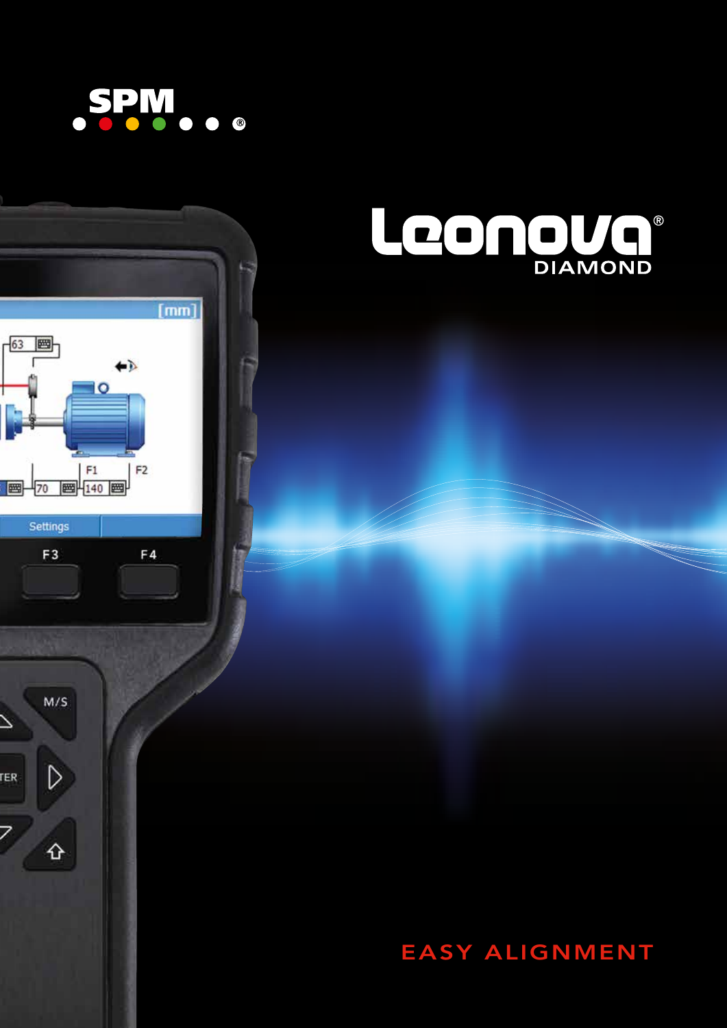